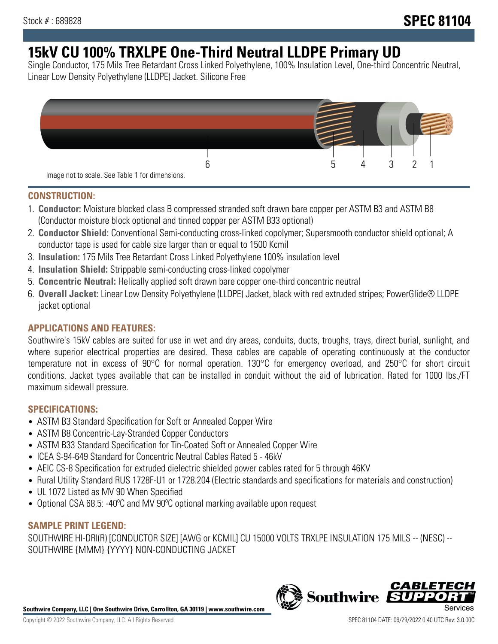# **15kV CU 100% TRXLPE One-Third Neutral LLDPE Primary UD**

Single Conductor, 175 Mils Tree Retardant Cross Linked Polyethylene, 100% Insulation Level, One-third Concentric Neutral, Linear Low Density Polyethylene (LLDPE) Jacket. Silicone Free



### **CONSTRUCTION:**

- 1. **Conductor:** Moisture blocked class B compressed stranded soft drawn bare copper per ASTM B3 and ASTM B8 (Conductor moisture block optional and tinned copper per ASTM B33 optional)
- 2. **Conductor Shield:** Conventional Semi-conducting cross-linked copolymer; Supersmooth conductor shield optional; A conductor tape is used for cable size larger than or equal to 1500 Kcmil
- 3. **Insulation:** 175 Mils Tree Retardant Cross Linked Polyethylene 100% insulation level
- 4. **Insulation Shield:** Strippable semi-conducting cross-linked copolymer
- 5. **Concentric Neutral:** Helically applied soft drawn bare copper one-third concentric neutral
- 6. **Overall Jacket:** Linear Low Density Polyethylene (LLDPE) Jacket, black with red extruded stripes; PowerGlide® LLDPE jacket optional

### **APPLICATIONS AND FEATURES:**

Southwire's 15kV cables are suited for use in wet and dry areas, conduits, ducts, troughs, trays, direct burial, sunlight, and where superior electrical properties are desired. These cables are capable of operating continuously at the conductor temperature not in excess of 90°C for normal operation. 130°C for emergency overload, and 250°C for short circuit conditions. Jacket types available that can be installed in conduit without the aid of lubrication. Rated for 1000 lbs./FT maximum sidewall pressure.

### **SPECIFICATIONS:**

- ASTM B3 Standard Specification for Soft or Annealed Copper Wire
- ASTM B8 Concentric-Lay-Stranded Copper Conductors
- ASTM B33 Standard Specification for Tin-Coated Soft or Annealed Copper Wire
- ICEA S-94-649 Standard for Concentric Neutral Cables Rated 5 46kV
- AEIC CS-8 Specification for extruded dielectric shielded power cables rated for 5 through 46KV
- Rural Utility Standard RUS 1728F-U1 or 1728.204 (Electric standards and specifications for materials and construction)
- UL 1072 Listed as MV 90 When Specified
- Optional CSA 68.5: -40ºC and MV 90ºC optional marking available upon request

### **SAMPLE PRINT LEGEND:**

SOUTHWIRE HI-DRI(R) [CONDUCTOR SIZE] [AWG or KCMIL] CU 15000 VOLTS TRXLPE INSULATION 175 MILS -- (NESC) -- SOUTHWIRE {MMM} {YYYY} NON-CONDUCTING JACKET

**Southwire Company, LLC | One Southwire Drive, Carrollton, GA 30119 | www.southwire.com**

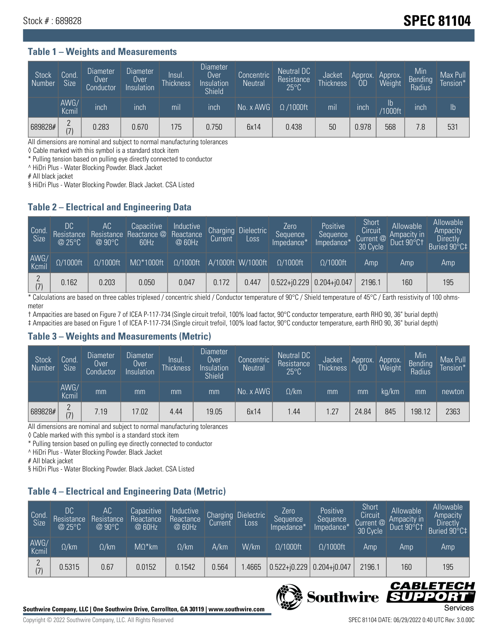## Stock # : 689828 **SPEC 81104**

#### **Table 1 – Weights and Measurements**

| Stock<br>Number | Cond.<br><b>Size</b>        | <b>Diameter</b><br>Over<br>Conductor | <b>Diameter</b><br>Over<br>Insulation | Insul.<br><b>Thickness</b> | <b>Diameter</b><br>Over<br>Insulation<br><b>Shield</b> | Concentric<br><b>Neutral</b> | Neutral DC<br>Resistance<br>$25^{\circ}$ C | Jacket<br><b>Thickness</b> | Approx.<br>0D | Approx.<br>Weight | Min<br><b>Bending</b><br>Radius | Max Pull<br>Tension*' |
|-----------------|-----------------------------|--------------------------------------|---------------------------------------|----------------------------|--------------------------------------------------------|------------------------------|--------------------------------------------|----------------------------|---------------|-------------------|---------------------------------|-----------------------|
|                 | AWG/<br>Kcmil               | inch                                 | inch                                  | mil                        | inch                                                   | No. x AWG                    | $\Omega$ /1000ft                           | mil                        | inch          | Ib<br>/1000ft     | inch                            | $\mathsf{lb}$         |
| 689828#         | $\Omega$<br>$\vert 7 \vert$ | 0.283                                | 0.670                                 | 175                        | 0.750                                                  | 6x14                         | 0.438                                      | 50                         | 0.978         | 568               | 7.8                             | 531                   |

All dimensions are nominal and subject to normal manufacturing tolerances

◊ Cable marked with this symbol is a standard stock item

\* Pulling tension based on pulling eye directly connected to conductor

^ HiDri Plus - Water Blocking Powder. Black Jacket

# All black jacket

§ HiDri Plus - Water Blocking Powder. Black Jacket. CSA Listed

### **Table 2 – Electrical and Engineering Data**

| Cond.<br>Size | 'DC<br>Resistance<br>@25°C | <b>AC</b><br>Resistance<br>$@90^{\circ}C$ | Capacitive<br>Reactance @<br>60Hz | Inductive<br>Reactance<br>@ 60Hz | Charging<br>Current | <b>Dielectric</b><br>Loss | Zero<br>Sequence<br>Impedance*   | Positive<br>Sequence<br>Impedance* | Short<br>Circuit<br>Current @<br>30 Cycle | Allowable<br>Ampacity in<br>Duct 90°C1 | Allowable<br>Ampacity<br>Directly<br>Buried 90°C‡ |
|---------------|----------------------------|-------------------------------------------|-----------------------------------|----------------------------------|---------------------|---------------------------|----------------------------------|------------------------------------|-------------------------------------------|----------------------------------------|---------------------------------------------------|
| AWG/<br>Kcmil | $\Omega/1000$ ft           | $\Omega/1000$ ft                          | $M\Omega^*1000$ ft                | $\Omega/1000$ ft                 |                     | A/1000ft W/1000ft         | $\Omega/1000$ ft                 | $\Omega/1000$ ft                   | Amp                                       | Amp                                    | Amp                                               |
| (7)           | 0.162                      | 0.203                                     | 0.050                             | 0.047                            | 0.172               | 0.447                     | $ 0.522 + i0.229 0.204 + i0.047$ |                                    | 2196.1                                    | 160                                    | 195                                               |

\* Calculations are based on three cables triplexed / concentric shield / Conductor temperature of 90°C / Shield temperature of 45°C / Earth resistivity of 100 ohmsmeter

† Ampacities are based on Figure 7 of ICEA P-117-734 (Single circuit trefoil, 100% load factor, 90°C conductor temperature, earth RHO 90, 36" burial depth) ‡ Ampacities are based on Figure 1 of ICEA P-117-734 (Single circuit trefoil, 100% load factor, 90°C conductor temperature, earth RHO 90, 36" burial depth)

### **Table 3 – Weights and Measurements (Metric)**

| Stock<br>Number | Cond.<br><b>Size</b> | <b>Diameter</b><br>Over<br>Conductor | Diameter<br>Over<br>Insulation | <b>Insul</b><br><b>Thickness</b> | <b>Diameter</b><br>Over<br>Insulation<br><b>Shield</b> | Concentric<br><b>Neutral</b> | Neutral DC<br>Resistance<br>$25^{\circ}$ C | Jacket<br><b>Thickness</b> | Approx.<br>0D | Approx.<br>Weight | Min<br>Bending<br>Radius | Max Pull<br>Tension* |
|-----------------|----------------------|--------------------------------------|--------------------------------|----------------------------------|--------------------------------------------------------|------------------------------|--------------------------------------------|----------------------------|---------------|-------------------|--------------------------|----------------------|
|                 | AWG/<br>Kcmil        | mm                                   | mm                             | mm                               | mm                                                     | No. x AWG                    | $\Omega$ /km                               | mm                         | mm            | ka/km             | mm                       | newton               |
| 689828#         | $\Omega$<br>(7)      | 7.19                                 | 17.02                          | 4.44                             | 19.05                                                  | 6x14                         | l.44                                       | 1.27                       | 24.84         | 845               | 198.12                   | 2363                 |

All dimensions are nominal and subject to normal manufacturing tolerances

◊ Cable marked with this symbol is a standard stock item

\* Pulling tension based on pulling eye directly connected to conductor

^ HiDri Plus - Water Blocking Powder. Black Jacket

# All black jacket

§ HiDri Plus - Water Blocking Powder. Black Jacket. CSA Listed

### **Table 4 – Electrical and Engineering Data (Metric)**

| Cond<br>Size  | DC<br>Resistance<br>@25°C | AC.<br>Resistance<br>$@90^{\circ}C$ | Capacitive<br>Reactance<br>@ 60Hz | Inductive<br>Reactance<br>@ 60Hz | Charging<br>Current | <b>Dielectric</b><br>Loss. | Zero<br>Sequence<br>Impedance* | Positive<br>Sequence<br>Impedance* | Short<br>Circuit<br>Current $@'$<br>30 Cycle | Allowable<br>Ampacity in<br>Duct 90°C1 | Allowable<br>Ampacity<br><b>Directly</b><br>Buried 90°C‡ |
|---------------|---------------------------|-------------------------------------|-----------------------------------|----------------------------------|---------------------|----------------------------|--------------------------------|------------------------------------|----------------------------------------------|----------------------------------------|----------------------------------------------------------|
| AWG/<br>Kcmil | $\Omega$ /km              | $\Omega$ /km                        | $M\Omega^*$ km                    | $\Omega$ /km                     | A/km                | W/km                       | $\Omega/1000$ ft               | $\Omega/1000$ ft                   | Amp                                          | Amp                                    | Amp                                                      |
|               | 0.5315                    | 0.67                                | 0.0152                            | 0.1542                           | 0.564               | .4665                      | $0.522 + j0.229$               | $0.204 + j0.047$                   | 2196.1                                       | 160                                    | 195                                                      |



CABLE

UPPO

IS

**Southwire**